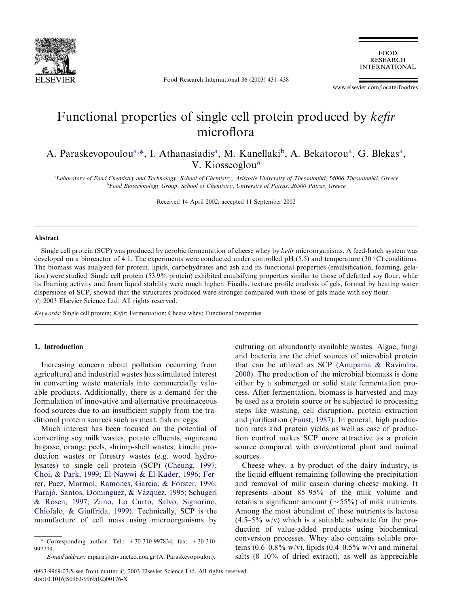

Food Research International 36 (2003) 431–438

**FOOD RESEARCH INTERNATIONAL** 

[www.elsevier.com/locate/foodres](http://www.elsevier.com/locate/foodres/a4.3d)

# Functional properties of single cell protein produced by kefir microflora

A. Paraskevopoulou<sup>a,\*</sup>, I. Athanasiadis<sup>a</sup>, M. Kanellaki<sup>b</sup>, A. Bekatorou<sup>a</sup>, G. Blekas<sup>a</sup>, V. Kiosseoglou<sup>a</sup>

a<br>Laboratory of Food Chemistry and Technology, School of Chemistry, Aristotle University of Thessaloniki, 54006 Thessaloniki, Greece <sup>b</sup>Food Biotechnology Group, School of Chemistry, University of Patras, 26500 Patras, Greece

Received 14 April 2002; accepted 11 September 2002

#### Abstract

Single cell protein (SCP) was produced by aerobic fermentation of cheese whey by *kefir* microorganisms. A feed-batch system was developed on a bioreactor of 4 1. The experiments were conducted under controlled pH (5.5) and temperature (30 °C) conditions. The biomass was analyzed for protein, lipids, carbohydrates and ash and its functional properties (emulsification, foaming, gelation) were studied. Single cell protein (53.9% protein) exhibited emulsifying properties similar to those of defatted soy flour, while its Ibaming activity and foam liquid stability were much higher. Finally, texture profile analysis of gels, formed by heating water dispersions of SCP, showed that the structures produced were stronger compared with those of gels made with soy flour.  $\odot$  2003 Elsevier Science Ltd. All rights reserved.

Keywords: Single cell protein; Kefir; Fermentation; Cheese whey; Functional properties

## 1. Introduction

Increasing concern about pollution occurring from agricultural and industrial wastes has stimulated interest in converting waste materials into commercially valuable products. Additionally, there is a demand for the formulation of innovative and alternative proteinaceous food sources due to an insufficient supply from the traditional protein sources such as meat, fish or eggs.

Much interest has been focused on the potential of converting soy milk wastes, potato effluents, sugarcane bagasse, orange peels, shrimp-shell wastes, kimchi production wastes or forestry wastes (e.g. wood hydrolysates) to single cell protein (SCP) [\(Cheung, 1997;](#page-6-0) [Choi, & Park, 1999; El-Nawwi & El-Kader, 1996; Fer](#page-6-0)[rer, Paez, Marmol, Ramones, Garcia, & Forster, 1996;](#page-6-0) Parajó, Santos, Dominguez, & Vázquez, 1995; Schugerl [& Rosen, 1997; Ziino, Lo Curto, Salvo, Signorino,](#page-6-0) [Chiofalo, & Giuffrida, 1999](#page-6-0)). Technically, SCP is the manufacture of cell mass using microorganisms by culturing on abundantly available wastes. Algae, fungi and bacteria are the chief sources of microbial protein that can be utilized as SCP (Anupama & Ravindra, 2000). The production of the microbial biomass is done either by a submerged or solid state fermentation process. After fermentation, biomass is harvested and may be used as a protein source or be subjected to processing steps like washing, cell disruption, protein extraction and purification ([Faust, 1987](#page-6-0)). In general, high production rates and protein yields as well as ease of production control makes SCP more attractive as a protein source compared with conventional plant and animal sources.

Cheese whey, a by-product of the dairy industry, is the liquid effluent remaining following the precipitation and removal of milk casein during cheese making. It represents about 85–95% of the milk volume and retains a significant amount ( $\sim$  55%) of milk nutrients. Among the most abundant of these nutrients is lactose  $(4.5-5\% \text{ w/v})$  which is a suitable substrate for the production of value-added products using biochemical conversion processes. Whey also contains soluble proteins (0.6–0.8% w/v), lipids (0.4–0.5% w/v) and mineral salts (8–10% of dried extract), as well as appreciable

<sup>\*</sup> Corresponding author. Tel.: +30-310-997834; fax: +30-310- 997779.

E-mail address: [mpara@env.meteo.noa.gr](mailto:mpara@env.meteo.noa.gr) (A. Paraskevopoulou).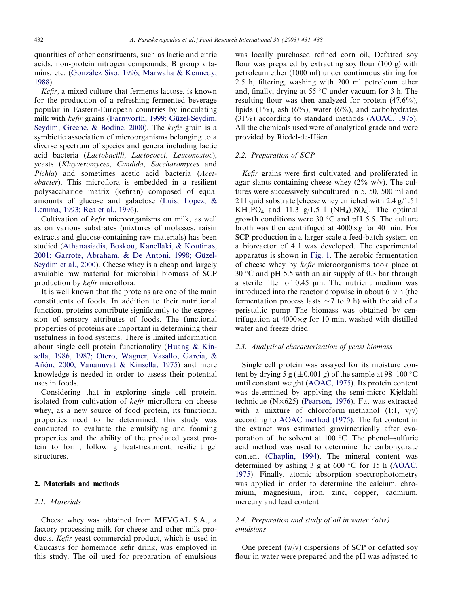quantities of other constituents, such as lactic and citric acids, non-protein nitrogen compounds, Bgroup vitamins, etc. (González Siso, 1996; Marwaha & Kennedy, [1988\)](#page-6-0).

Kefir, a mixed culture that ferments lactose, is known for the production of a refreshing fermented beverage popular in Eastern-European countries by inoculating milk with kefir grains (Farnworth, 1999; Güzel-Seydim, [Seydim, Greene, & Bodine, 2000\)](#page-6-0). The kefir grain is a symbiotic association of microorganisms belonging to a diverse spectrum of species and genera including lactic acid bacteria (Lactobacilli, Lactococci, Leuconostoc), yeasts (Kluyveromyces, Candida, Saccharomyces and Pichia) and sometimes acetic acid bacteria (Acetobacter). This microflora is embedded in a resilient polysaccharide matrix (kefiran) composed of equal amounts of glucose and galactose ([Luis, Lopez, &](#page-6-0) [Lemma, 1993; Rea et al., 1996](#page-6-0)).

Cultivation of kefir microorganisms on milk, as well as on various substrates (mixtures of molasses, raisin extracts and glucose-containing raw materials) has been studied [\(Athanasiadis, Boskou, Kanellaki, & Koutinas,](#page-6-0) 2001; Garrote, Abraham, & De Antoni, 1998; Güzel-[Seydim et al., 2000](#page-6-0)). Cheese whey is a cheap and largely available raw material for microbial biomass of SCP production by kefir microflora.

It is well known that the proteins are one of the main constituents of foods. In addition to their nutritional function, proteins contribute significantly to the expression of sensory attributes of foods. The functional properties of proteins are important in determining their usefulness in food systems. There is limited information about single cell protein functionality [\(Huang & Kin](#page-6-0)sella, 1986, 1987; Otero, Wagner, Vasallo, García, & Añón, 2000; Vananuvat & Kinsella, 1975) and more knowledge is needed in order to assess their potential uses in foods.

Considering that in exploring single cell protein, isolated from cultivation of kefir microflora on cheese whey, as a new source of food protein, its functional properties need to be determined, this study was conducted to evaluate the emulsifying and foaming properties and the ability of the produced yeast protein to form, following heat-treatment, resilient gel structures.

### 2. Materials and methods

## 2.1. Materials

Cheese whey was obtained from MEVGAL S.A., a factory processing milk for cheese and other milk products. Kefir yeast commercial product, which is used in Caucasus for homemade kefir drink, was employed in this study. The oil used for preparation of emulsions

was locally purchased refined corn oil, Defatted soy flour was prepared by extracting soy flour (100 g) with petroleum ether (1000 ml) under continuous stirring for 2.5 h, filtering, washing with 200 ml petroleum ether and, finally, drying at 55  $\degree$ C under vacuum for 3 h. The resulting flour was then analyzed for protein (47.6%), lipids  $(1\%)$ , ash  $(6\%)$ , water  $(6\%)$ , and carbohydrates (31%) according to standard methods ([AOAC, 1975\)](#page-6-0). All the chemicals used were of analytical grade and were provided by Riedel-de-Häen.

#### 2.2. Preparation of SCP

Kefir grains were first cultivated and proliferated in agar slants containing cheese whey  $(2\% \text{ w/v})$ . The cultures were successively subcultured in 5, 50, 500 ml and 2 l liquid substrate [cheese whey enriched with 2.4 g/1.5 l  $KH_2PO_4$  and 11.3 g/1.5 l (NH<sub>4</sub>)<sub>2</sub>SO<sub>4</sub>]. The optimal growth conditions were 30  $\degree$ C and pH 5.5. The culture broth was then centrifuged at  $4000 \times g$  for 40 min. For SCP production in a larger scale a feed-batch system on a bioreactor of 4 l was developed. The experimental apparatus is shown in [Fig. 1](#page-2-0). The aerobic fermentation of cheese whey by kefir microorganisms took place at  $30^{\circ}$ C and pH 5.5 with an air supply of 0.3 bar through a sterile filter of  $0.45 \mu m$ . The nutrient medium was introduced into the reactor dropwise in about 6–9 h (the fermentation process lasts  $\sim$  7 to 9 h) with the aid of a peristaltic pump The biomass was obtained by centrifugation at  $4000 \times g$  for 10 min, washed with distilled water and freeze dried.

#### 2.3. Analytical characterization of yeast biomass

Single cell protein was assayed for its moisture content by drying 5 g ( $\pm$ 0.001 g) of the sample at 98–100 °C until constant weight [\(AOAC, 1975](#page-6-0)). Its protein content was determined by applying the semi-micro Kjeldahl technique ( $N\times625$ ) [\(Pearson, 1976\)](#page-6-0). Fat was extracted with a mixture of chloroform–methanol  $(1:1, v/v)$ according to [AOAC method \(1975\).](#page-6-0) The fat content in the extract was estimated gravirnetrically after evaporation of the solvent at 100  $\degree$ C. The phenol–sulfuric acid method was used to determine the carbohydrate content [\(Chaplin, 1994\)](#page-6-0). The mineral content was determined by ashing 3 g at 600  $\degree$ C for 15 h ([AOAC,](#page-6-0) [1975\)](#page-6-0). Finally, atomic absorption spectrophotometry was applied in order to determine the calcium, chromium, magnesium, iron, zinc, copper, cadmium, mercury and lead content.

# 2.4. Preparation and study of oil in water  $(o/w)$ emulsions

One precent  $(w/v)$  dispersions of SCP or defatted soy flour in water were prepared and the pH was adjusted to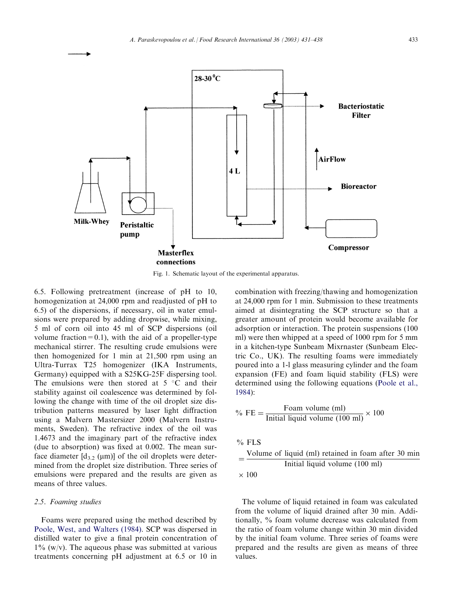<span id="page-2-0"></span>

Fig. 1. Schematic layout of the experimental apparatus.

6.5. Following pretreatment (increase of pH to 10, homogenization at 24,000 rpm and readjusted of pH to 6.5) of the dispersions, if necessary, oil in water emulsions were prepared by adding dropwise, while mixing, 5 ml of corn oil into 45 ml of SCP dispersions (oil volume fraction=0.1), with the aid of a propeller-type mechanical stirrer. The resulting crude emulsions were then homogenized for 1 min at 21,500 rpm using an Ultra-Turrax T25 homogenizer (IKA Instruments, Germany) equipped with a S25KG-25F dispersing tool. The emulsions were then stored at  $5 \degree C$  and their stability against oil coalescence was determined by following the change with time of the oil droplet size distribution patterns measured by laser light diffraction using a Malvern Mastersizer 2000 (Malvern Instruments, Sweden). The refractive index of the oil was 1.4673 and the imaginary part of the refractive index (due to absorption) was fixed at 0.002. The mean surface diameter  $[d_{3,2} (\mu m)]$  of the oil droplets were determined from the droplet size distribution. Three series of emulsions were prepared and the results are given as means of three values.

## 2.5. Foaming studies

Foams were prepared using the method described by [Poole, West, and Walters \(1984\)](#page-6-0). SCP was dispersed in distilled water to give a final protein concentration of  $1\%$  (w/v). The aqueous phase was submitted at various treatments concerning pH adjustment at 6.5 or 10 in combination with freezing/thawing and homogenization at 24,000 rpm for 1 min. Submission to these treatments aimed at disintegrating the SCP structure so that a greater amount of protein would become available for adsorption or interaction. The protein suspensions (100 ml) were then whipped at a speed of 1000 rpm for 5 mm in a kitchen-type Sunbeam Mixrnaster (Sunbeam Electric Co., UK). The resulting foams were immediately poured into a 1-l glass measuring cylinder and the foam expansion (FE) and foam liquid stability (FLS) were determined using the following equations ([Poole et al.,](#page-6-0) [1984\)](#page-6-0):

$$
\% FE = \frac{Foam volume (ml)}{Initial liquid volume (100 ml)} \times 100
$$

% FLS

$$
= \frac{\text{Volume of liquid (ml) retained in foam after 30 min}}{\text{Initial liquid volume (100 ml)}} \times 100
$$

The volume of liquid retained in foam was calculated from the volume of liquid drained after 30 min. Additionally, % foam volume decrease was calculated from the ratio of foam volume change within 30 min divided by the initial foam volume. Three series of foams were prepared and the results are given as means of three values.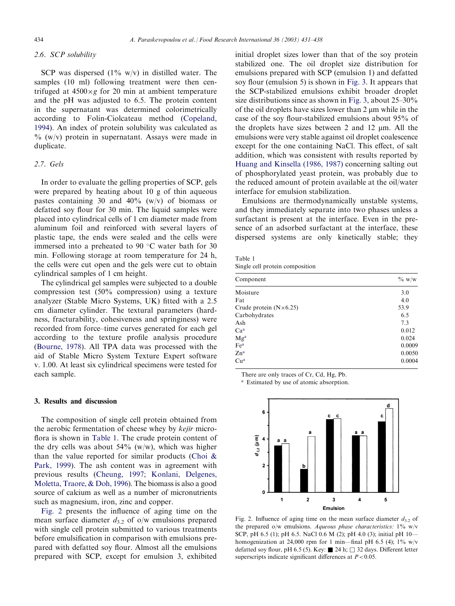# 2.6. SCP solubility

SCP was dispersed  $(1\%$  w/v) in distilled water. The samples (10 ml) following treatment were then centrifuged at  $4500 \times g$  for 20 min at ambient temperature and the pH was adjusted to 6.5. The protein content in the supernatant was determined colorimetrically according to Folin-Ciolcateau method ([Copeland,](#page-6-0) [1994\)](#page-6-0). An index of protein solubility was calculated as  $\%$  (w/v) protein in supernatant. Assays were made in duplicate.

## 2.7. Gels

In order to evaluate the gelling properties of SCP, gels were prepared by heating about 10 g of thin aqueous pastes containing 30 and  $40\%$  (w/v) of biomass or defatted soy flour for 30 min. The liquid samples were placed into cylindrical cells of 1 cm diameter made from aluminum foil and reinforced with several layers of plastic tape, the ends were sealed and the cells were immersed into a preheated to 90 $\degree$ C water bath for 30 min. Following storage at room temperature for 24 h, the cells were cut open and the gels were cut to obtain cylindrical samples of 1 cm height.

The cylindrical gel samples were subjected to a double compression test (50% compression) using a texture analyzer (Stable Micro Systems, UK) fitted with a 2.5 cm diameter cylinder. The textural parameters (hardness, fracturability, cohesiveness and springiness) were recorded from force–time curves generated for each gel according to the texture profile analysis procedure [\(Bourne, 1978\)](#page-6-0). All TPA data was processed with the aid of Stable Micro System Texture Expert software v. 1.00. At least six cylindrical specimens were tested for each sample.

### 3. Results and discussion

The composition of single cell protein obtained from the aerobic fermentation of cheese whey by kejir microflora is shown in Table 1. The crude protein content of the dry cells was about  $54\%$  (w/w), which was higher than the value reported for similar products (Choi  $\&$ [Park, 1999\)](#page-6-0). The ash content was in agreement with previous results ([Cheung, 1997; Konlani, Delgenes,](#page-6-0) [Moletta, Traore, & Doh, 1996\)](#page-6-0). The biomass is also a good source of calcium as well as a number of micronutrients such as magnesium, iron, zinc and copper.

Fig. 2 presents the influence of aging time on the mean surface diameter  $d_{3,2}$  of o/w emulsions prepared with single cell protein submitted to various treatments before emulsification in comparison with emulsions prepared with defatted soy flour. Almost all the emulsions prepared with SCP, except for emulsion 3, exhibited initial droplet sizes lower than that of the soy protein stabilized one. The oil droplet size distribution for emulsions prepared with SCP (emulsion 1) and defatted soy flour (emulsion 5) is shown in [Fig. 3.](#page-4-0) It appears that the SCP-stabilized emulsions exhibit broader droplet size distributions since as shown in [Fig. 3](#page-4-0), about 25–30% of the oil droplets have sizes lower than  $2 \mu m$  while in the case of the soy flour-stabilized emulsions about 95% of the droplets have sizes between 2 and 12 mm. All the emulsions were very stable against oil droplet coalescence except for the one containing NaCl. This effect, of salt addition, which was consistent with results reported by [Huang and Kinsella \(1986, 1987\)](#page-6-0) concerning salting out of phosphorylated yeast protein, was probably due to the reduced amount of protein available at the oil/water interface for emulsion stabilization.

Emulsions are thermodynamically unstable systems, and they immediately separate into two phases unless a surfactant is present at the interface. Even in the presence of an adsorbed surfactant at the interface, these dispersed systems are only kinetically stable; they

Table 1 Single cell protein composition

| Component                       | $\% W/w$ |
|---------------------------------|----------|
| Moisture                        | 3.0      |
| Fat                             | 4.0      |
| Crude protein $(N \times 6.25)$ | 53.9     |
| Carbohydrates                   | 6.5      |
| Ash                             | 7.3      |
| Ca <sup>a</sup>                 | 0.012    |
| Mga                             | 0.024    |
| Fe <sup>a</sup>                 | 0.0009   |
| $Zn^a$                          | 0.0050   |
| Cu <sup>a</sup>                 | 0.0004   |

There are only traces of Cr, Cd, Hg, Pb.

<sup>a</sup> Estimated by use of atomic absorption.



Fig. 2. Influence of aging time on the mean surface diameter  $d_{3,2}$  of the prepared o/w emulsions. Aqueous phase characteristics:  $1\%$  w/v SCP, pH 6.5 (1); pH 6.5. NaCl 0.6 M (2); pH 4.0 (3); initial pH 10 homogenization at 24,000 rpm for 1 min—final pH 6.5 (4);  $1\%$  w/v defatted soy flour, pH 6.5 (5). Key:  $\blacksquare$  24 h;  $\square$  32 days. Different letter superscripts indicate significant differences at  $P < 0.05$ .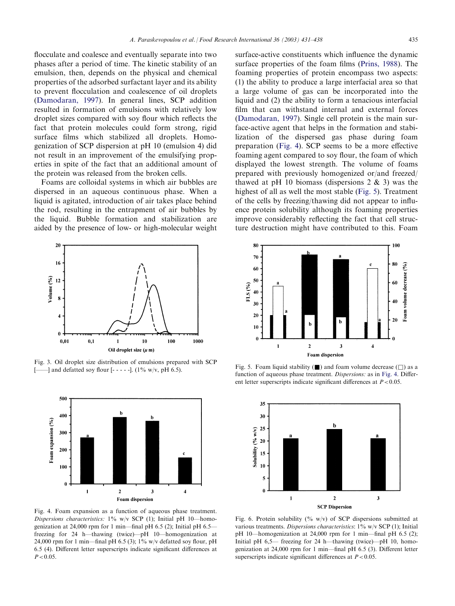<span id="page-4-0"></span>flocculate and coalesce and eventually separate into two phases after a period of time. The kinetic stability of an emulsion, then, depends on the physical and chemical properties of the adsorbed surfactant layer and its ability to prevent flocculation and coalescence of oil droplets [\(Damodaran, 1997](#page-6-0)). In general lines, SCP addition resulted in formation of emulsions with relatively low droplet sizes compared with soy flour which reflects the fact that protein molecules could form strong, rigid surface films which stabilized all droplets. Homogenization of SCP dispersion at pH 10 (emulsion 4) did not result in an improvement of the emulsifying properties in spite of the fact that an additional amount of the protein was released from the broken cells.

Foams are colloidal systems in which air bubbles are dispersed in an aqueous continuous phase. When a liquid is agitated, introduction of air takes place behind the rod, resulting in the entrapment of air bubbles by the liquid. Bubble formation and stabilization are aided by the presence of low- or high-molecular weight



Fig. 3. Oil droplet size distribution of emulsions prepared with SCP  $[$ ——] and defatted soy flour [- - - -]. (1% w/v, pH 6.5).



Fig. 4. Foam expansion as a function of aqueous phase treatment. Dispersions characteristics: 1% w/v SCP (1); Initial pH 10—homogenization at 24,000 rpm for 1 min—final pH 6.5 (2); Initial pH 6.5 freezing for 24 h—thawing (twice)—pH 10—homogenization at 24,000 rpm for 1 min—final pH 6.5 (3);  $1\%$  w/v defatted soy flour, pH 6.5 (4). Different letter superscripts indicate significant differences at  $P < 0.05$ .

surface-active constituents which influence the dynamic surface properties of the foam films ([Prins, 1988](#page-6-0)). The foaming properties of protein encompass two aspects: (1) the ability to produce a large interfacial area so that a large volume of gas can be incorporated into the liquid and (2) the ability to form a tenacious interfacial film that can withstand internal and external forces [\(Damodaran, 1997\)](#page-6-0). Single cell protein is the main surface-active agent that helps in the formation and stabilization of the dispersed gas phase during foam preparation (Fig. 4). SCP seems to be a more effective foaming agent compared to soy flour, the foam of which displayed the lowest strength. The volume of foams prepared with previously homogenized or/and freezed/ thawed at pH 10 biomass (dispersions  $2 \& 3$ ) was the highest of all as well the most stable (Fig. 5). Treatment of the cells by freezing/thawing did not appear to influence protein solubility although its foaming properties improve considerably reflecting the fact that cell structure destruction might have contributed to this. Foam



Fig. 5. Foam liquid stability  $(\blacksquare)$  and foam volume decrease  $(\square)$  as a function of aqueous phase treatment. Dispersions: as in Fig. 4. Different letter superscripts indicate significant differences at  $P < 0.05$ .



Fig. 6. Protein solubility (% w/v) of SCP dispersions submitted at various treatments. Dispersions characteristics: 1% w/v SCP (1); Initial pH 10—homogenization at 24,000 rpm for 1 min—final pH 6.5 (2); Initial pH 6,5— freezing for 24 h—thawing (twice)—pH 10, homogenization at 24,000 rpm for 1 min—final pH 6.5 (3). Different letter superscripts indicate significant differences at  $P < 0.05$ .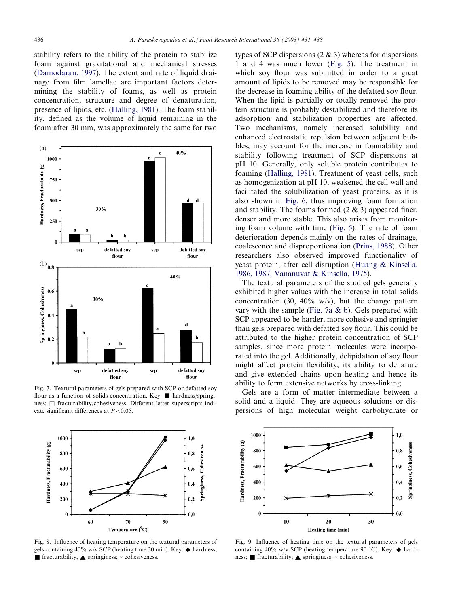<span id="page-5-0"></span>stability refers to the ability of the protein to stabilize foam against gravitational and mechanical stresses [\(Damodaran, 1997\)](#page-6-0). The extent and rate of liquid drainage from film lamellae are important factors determining the stability of foams, as well as protein concentration, structure and degree of denaturation, presence of lipids, etc. [\(Halling, 1981\)](#page-6-0). The foam stability, defined as the volume of liquid remaining in the foam after 30 mm, was approximately the same for two



Fig. 7. Textural parameters of gels prepared with SCP or defatted soy flour as a function of solids concentration. Key:  $\blacksquare$  hardness/springiness;  $\Box$  fracturability/cohesiveness. Different letter superscripts indicate significant differences at  $P < 0.05$ .



Fig. 8. Influence of heating temperature on the textural parameters of gels containing 40% w/v SCP (heating time 30 min). Key:  $\blacklozenge$  hardness;  $\blacksquare$  fracturability,  $\blacktriangle$  springiness;  $*$  cohesiveness.

types of SCP dispersions  $(2 \& 3)$  whereas for dispersions 1 and 4 was much lower ([Fig. 5](#page-4-0)). The treatment in which soy flour was submitted in order to a great amount of lipids to be removed may be responsible for the decrease in foaming ability of the defatted soy flour. When the lipid is partially or totally removed the protein structure is probably destabilized and therefore its adsorption and stabilization properties are affected. Two mechanisms, namely increased solubility and enhanced electrostatic repulsion between adjacent bubbles, may account for the increase in foamability and stability following treatment of SCP dispersions at pH 10. Generally, only soluble protein contributes to foaming ([Halling, 1981](#page-6-0)). Treatment of yeast cells, such as homogenization at pH 10, weakened the cell wall and facilitated the solubilization of yeast proteins, as it is also shown in [Fig. 6,](#page-4-0) thus improving foam formation and stability. The foams formed  $(2 \& 3)$  appeared finer, denser and more stable. This also arises from monitoring foam volume with time ([Fig. 5](#page-4-0)). The rate of foam deterioration depends mainly on the rates of drainage, coalescence and disproportionation ([Prins, 1988](#page-6-0)). Other researchers also observed improved functionality of yeast protein, after cell disruption [\(Huang & Kinsella,](#page-6-0) [1986, 1987; Vananuvat & Kinsella, 1975\)](#page-6-0).

The textural parameters of the studied gels generally exhibited higher values with the increase in total solids concentration (30, 40% w/v), but the change pattern vary with the sample (Fig. 7a  $&$  b). Gels prepared with SCP appeared to be harder, more cohesive and springier than gels prepared with defatted soy flour. This could be attributed to the higher protein concentration of SCP samples, since more protein molecules were incorporated into the gel. Additionally, delipidation of soy flour might affect protein flexibility, its ability to denature and give extended chains upon heating and hence its ability to form extensive networks by cross-linking.

Gels are a form of matter intermediate between a solid and a liquid. They are aqueous solutions or dispersions of high molecular weight carbohydrate or



Fig. 9. Influence of heating time on the textural parameters of gels containing 40% w/v SCP (heating temperature 90 °C). Key:  $\blacklozenge$  hardness;  $\blacksquare$  fracturability;  $\blacktriangle$  springiness;  $*$  cohesiveness.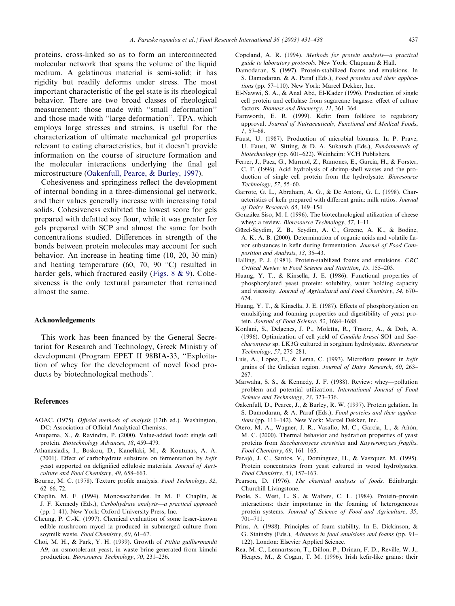<span id="page-6-0"></span>proteins, cross-linked so as to form an interconnected molecular network that spans the volume of the liquid medium. A gelatinous material is semi-solid; it has rigidity but readily deforms under stress. The most important characteristic of the gel state is its rheological behavior. There are two broad classes of rheological measurement: those made with ''small deformation'' and those made with ''large deformation''. TPA. which employs large stresses and strains, is useful for the characterization of ultimate mechanical gel properties relevant to eating characteristics, but it doesn't provide information on the course of structure formation and the molecular interactions underlying the final gel microstructure (Oakenfull, Pearce, & Burley, 1997).

Cohesiveness and springiness reflect the development of internal bonding in a three-dimensional gel network, and their values generally increase with increasing total solids. Cohesiveness exhibited the lowest score for gels prepared with defatted soy flour, while it was greater for gels prepared with SCP and almost the same for both concentrations studied. Differences in strength of the bonds between protein molecules may account for such behavior. An increase in heating time (10, 20, 30 min) and heating temperature (60, 70, 90  $\degree$ C) resulted in harder gels, which fractured easily ([Figs. 8 & 9\)](#page-5-0). Cohesiveness is the only textural parameter that remained almost the same.

#### Acknowledgements

This work has been financed by the General Secretariat for Research and Technology, Greek Ministry of development (Program EPET II 98BIA-33, ''Exploitation of whey for the development of novel food products by biotechnological methods''.

#### References

- AOAC. (1975). Official methods of analysis (12th ed.). Washington, DC: Association of Official Analytical Chemists.
- Anupama, X., & Ravindra, P. (2000). Value-added food: single cell protein. Biotechnology Advances, 18, 459–479.
- Athanasiadis, I., Boskou, D., Kanellaki, M., & Koutunas, A. A. (2001). Effect of carbohydrate substrate on fermentation by kefir yeast supported on delignified cellulosic materials. Journal of Agriculture and Food Chemistry, 49, 658–663.
- Bourne, M. C. (1978). Texture profile analysis. Food Technology, 32, 62–66, 72.
- Chaplin, M. F. (1994). Monosaccharides. In M. F. Chaplin, & J. F. Kennedy (Eds.), Carbohydrate analysis—a practical approach (pp. 1–41). New York: Oxford University Press, Inc.
- Cheung, P. C.-K. (1997). Chemical evaluation of some lesser-known edible mushroom mycel ia produced in submerged culture from soymilk waste. Food Chemistry, 60, 61–67.
- Choi, M. H., & Park, Y. H. (1999). Growth of Pithia guilliermandii A9, an osmotolerant yeast, in waste brine generated from kimchi production. Bioresource Technology, 70, 231–236.
- Copeland, A. R. (1994). Methods for protein analysis—a practical guide to laboratory protocols. New York: Chapman & Hall.
- Damodaran, S. (1997). Protein-stabilized foams and emulsions. In S. Damodaran, & A. Paraf (Eds.), Food proteins and their applications (pp. 57–110). New York: Marcel Dekker, Inc.
- El-Nawwi, S. A., & Anal Abd, El-Kader (1996). Production of single cell protein and cellulase from sugarcane bagasse: effect of culture factors. Biomass and Bioenergy, 11, 361-364.
- Farnworth, E. R. (1999). Kefir: from folklore to regulatory approval. Journal of Nutraceuticals, Functional and Medical Foods, 1, 57–68.
- Faust, U. (1987). Production of microbial biomass. In P. Prave, U. Faust, W. Sitting, & D. A. Sukatsch (Eds.), Fundamentals of biotechnology (pp. 601–622). Weinheim: VCH Publishers.
- Ferrer, J., Paez, G., Marmol, Z., Ramones, E., Garcia, H., & Forster, C. F. (1996). Acid hydrolysis of shrimp-shell wastes and the production of single cell protein from the hydrolysate. *Bioresource* Technology, 57, 55–60.
- Garrote, G. L., Abraham, A. G., & De Antoni, G. L. (1998). Characteristics of kefir prepared with different grain: milk ratios. Journal of Dairy Research, 65, 149–154.
- González Siso, M. I. (1996). The biotechnological utilization of cheese whey: a review. *Bioresource Technology*, 57, 1-11.
- Güzel-Seydim, Z. B., Seydim, A. C., Greene, A. K., & Bodine, A. K. A. B. (2000). Determination of organic acids and volatile flavor substances in kefir during fermentation. Journal of Food Composition and Analysis, 13, 35–43.
- Halling, P. J. (1981). Protein-stabilized foams and emulsions. CRC Critical Review in Food Science and Nutrition, 15, 155–203.
- Huang, Y. T., & Kinsella, J. E. (1986). Functional properties of phosphorylated yeast protein: solubility, water holding capacity and viscosity. Journal of Agricultural and Food Chemistry, 34, 670– 674.
- Huang, Y. T., & Kinsella, J. E. (1987). Effects of phosphorylation on emulsifying and foaming properties and digestibility of yeast protein. Journal of Food Science, 52, 1684–1688.
- Konlani, S., Delgenes, J. P., Moletta, R., Traore, A., & Doh, A. (1996). Optimization of cell yield of Candida krusei SO1 and Saccharomyces sp. LK3G cultured in sorghum hydrolysate. Bioresource Technology, 57, 275–281.
- Luis, A., Lopez, E., & Lema, C. (1993). Microflora present in kefir grains of the Galician region. Journal of Dairy Research, 60, 263– 267.
- Marwaha, S. S., & Kennedy, J. F. (1988). Review: whey—pollution problem and potential utilization. International Journal of Food Science and Technology, 23, 323–336.
- Oakenfull, D., Pearce, J., & Burley, R. W. (1997). Protein gelation. In S. Damodaran, & A. Paraf (Eds.), Food proteins and their applications (pp. 111–142). New York: Marcel Dekker, Inc.
- Otero, M. A., Wagner, J. R., Vasallo, M. C., García, L., & Añón, M. C. (2000). Thermal behavior and hydration properties of yeast proteins from Saccharomyces cerevisiae and Kuyveromyces fragilis. Food Chemistry, 69, 161–165.
- Parajó, J. C., Santos, V., Domínguez, H., & Vaszquez, M. (1995). Protein concentrates from yeast cultured in wood hydrolysates. Food Chemistry, 53, 157–163.
- Pearson, D. (1976). The chemical analysis of foods. Edinburgh: Churchill Livingstone.
- Poole, S., West, L. S., & Walters, C. L. (1984). Protein–protein interactions: their importance in the foaming of heterogeneous protein systems. Journal of Science of Food and Agriculture, 35, 701–711.
- Prins, A. (1988). Principles of foam stability. In E. Dickinson, & G. Stainsby (Eds.), Advances in food emulsions and foams (pp. 91– 122). London: Elsevier Applied Science.
- Rea, M. C., Lennartsson, T., Dillon, P., Drinan, F. D., Reville, W. J., Heapes, M., & Cogan, T. M. (1996). Irish kefir-like grains: their